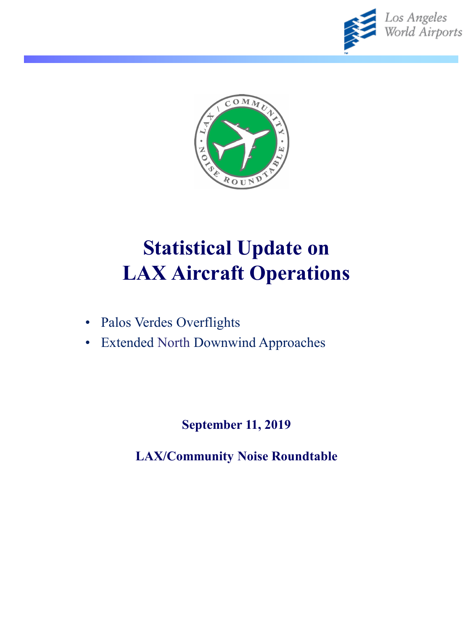



# **Statistical Update on LAX Aircraft Operations**

- Palos Verdes Overflights
- Extended North Downwind Approaches

**September 11, 2019**

**LAX/Community Noise Roundtable**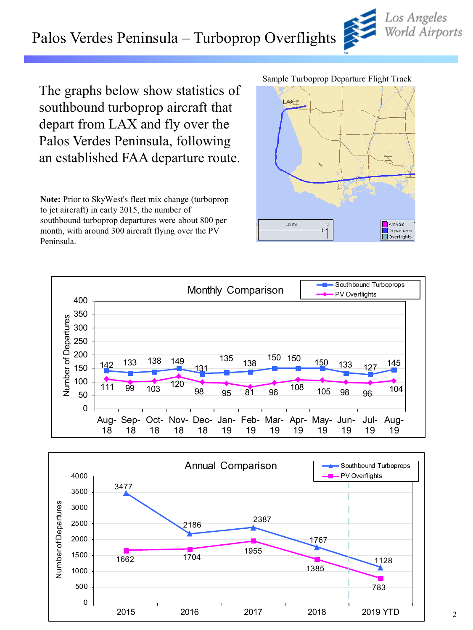### Palos Verdes Peninsula – Turboprop Overflights



The graphs below show statistics of southbound turboprop aircraft that depart from LAX and fly over the Palos Verdes Peninsula, following an established FAA departure route.

**Note:** Prior to SkyWest's fleet mix change (turboprop to jet aircraft) in early 2015, the number of southbound turboprop departures were about 800 per month, with around 300 aircraft flying over the PV Peninsula.

Sample Turboprop Departure Flight Track





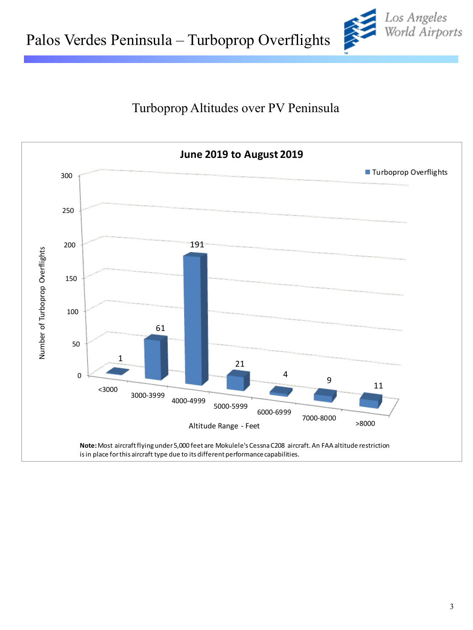#### Turboprop Altitudes over PV Peninsula



Los Angeles<br>World Airports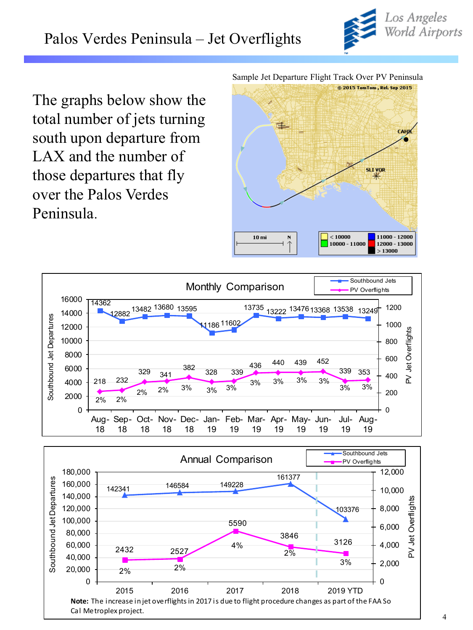

The graphs below show the total number of jets turning south upon departure from LAX and the number of those departures that fly over the Palos Verdes Peninsula.

Sample Jet Departure Flight Track Over PV Peninsula





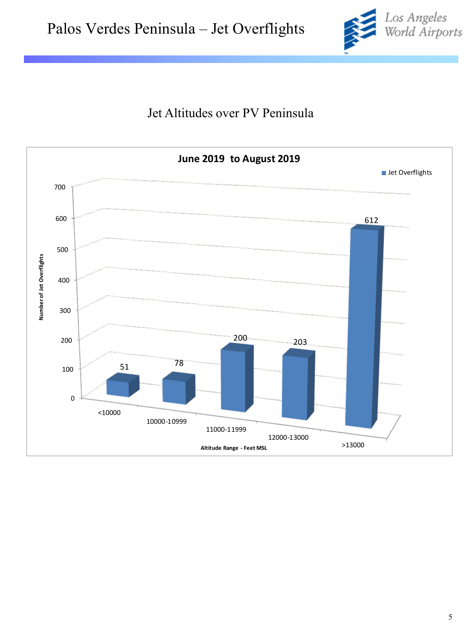

#### Jet Altitudes over PV Peninsula

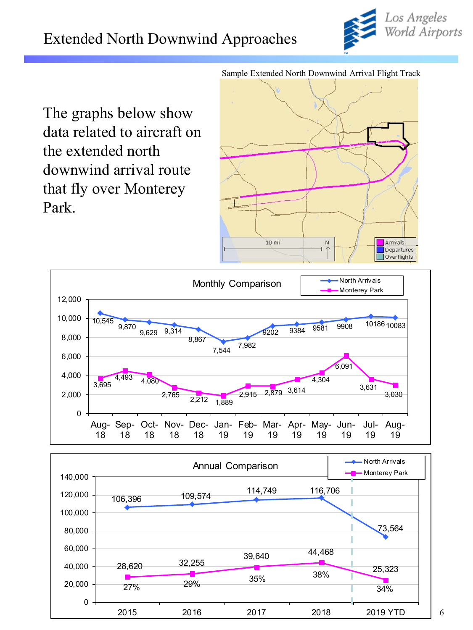

The graphs below show data related to aircraft on the extended north downwind arrival route that fly over Monterey Park.







Sample Extended North Downwind Arrival Flight Track